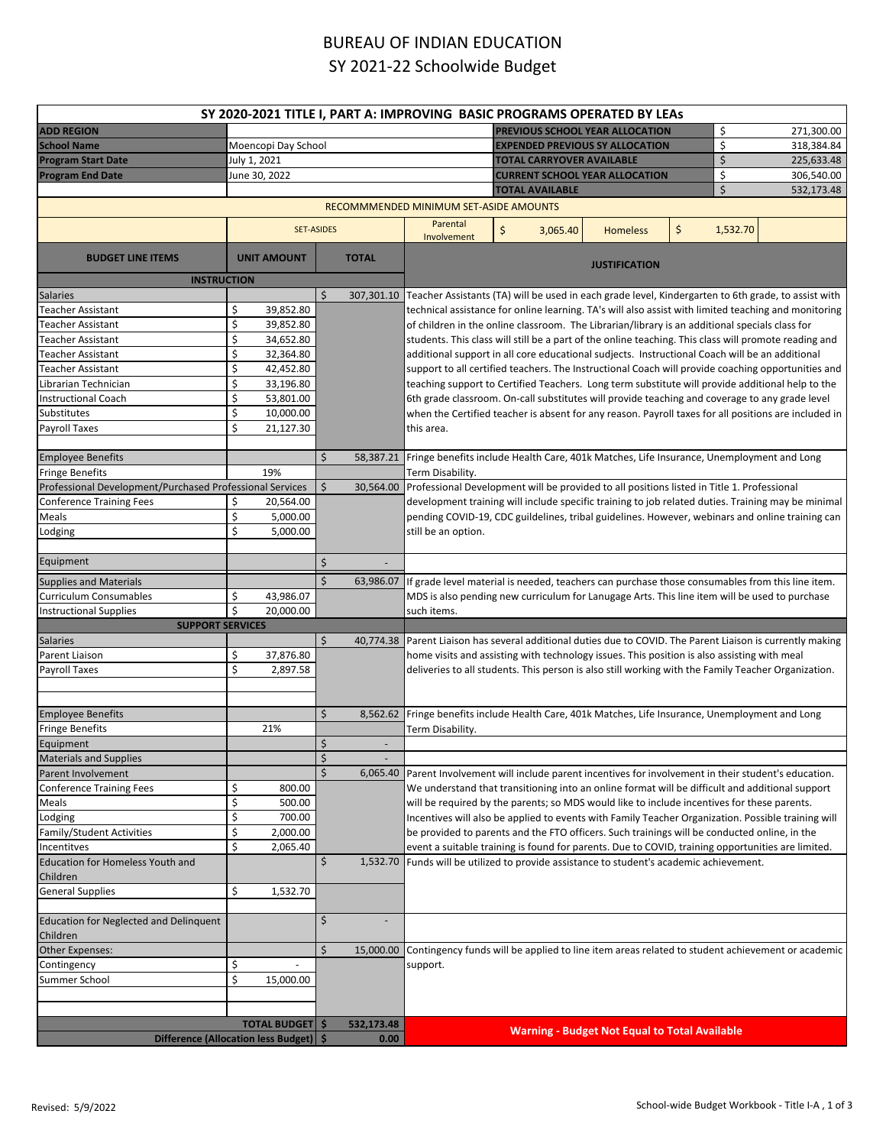## BUREAU OF INDIAN EDUCATION SY 2021-22 Schoolwide Budget

| SY 2020-2021 TITLE I, PART A: IMPROVING BASIC PROGRAMS OPERATED BY LEAS |                                         |                   |                                        |                                                                                                                                                                                                                                                                                                                                                                                                                                                                                                                                                                                                                                                                                                                                                                                                                                       |                                                                                             |                        |                                                      |            |            |                                                                                                    |  |
|-------------------------------------------------------------------------|-----------------------------------------|-------------------|----------------------------------------|---------------------------------------------------------------------------------------------------------------------------------------------------------------------------------------------------------------------------------------------------------------------------------------------------------------------------------------------------------------------------------------------------------------------------------------------------------------------------------------------------------------------------------------------------------------------------------------------------------------------------------------------------------------------------------------------------------------------------------------------------------------------------------------------------------------------------------------|---------------------------------------------------------------------------------------------|------------------------|------------------------------------------------------|------------|------------|----------------------------------------------------------------------------------------------------|--|
| <b>ADD REGION</b>                                                       |                                         |                   |                                        |                                                                                                                                                                                                                                                                                                                                                                                                                                                                                                                                                                                                                                                                                                                                                                                                                                       |                                                                                             |                        | <b>PREVIOUS SCHOOL YEAR ALLOCATION</b>               |            | \$         | 271,300.00                                                                                         |  |
| <b>School Name</b>                                                      | Moencopi Day School                     |                   |                                        |                                                                                                                                                                                                                                                                                                                                                                                                                                                                                                                                                                                                                                                                                                                                                                                                                                       | <b>EXPENDED PREVIOUS SY ALLOCATION</b>                                                      |                        |                                                      |            | 318,384.84 |                                                                                                    |  |
| <b>Program Start Date</b>                                               | July 1, 2021                            |                   |                                        |                                                                                                                                                                                                                                                                                                                                                                                                                                                                                                                                                                                                                                                                                                                                                                                                                                       | <b>TOTAL CARRYOVER AVAILABLE</b>                                                            |                        | \$                                                   | 225,633.48 |            |                                                                                                    |  |
| <b>Program End Date</b>                                                 | June 30, 2022                           |                   |                                        | <b>CURRENT SCHOOL YEAR ALLOCATION</b>                                                                                                                                                                                                                                                                                                                                                                                                                                                                                                                                                                                                                                                                                                                                                                                                 |                                                                                             |                        |                                                      | \$         | 306,540.00 |                                                                                                    |  |
|                                                                         |                                         |                   |                                        |                                                                                                                                                                                                                                                                                                                                                                                                                                                                                                                                                                                                                                                                                                                                                                                                                                       |                                                                                             | <b>TOTAL AVAILABLE</b> |                                                      |            |            | 532,173.48                                                                                         |  |
|                                                                         |                                         |                   | RECOMMMENDED MINIMUM SET-ASIDE AMOUNTS |                                                                                                                                                                                                                                                                                                                                                                                                                                                                                                                                                                                                                                                                                                                                                                                                                                       |                                                                                             |                        |                                                      |            |            |                                                                                                    |  |
|                                                                         | Parental                                |                   |                                        |                                                                                                                                                                                                                                                                                                                                                                                                                                                                                                                                                                                                                                                                                                                                                                                                                                       | \$                                                                                          |                        |                                                      |            |            |                                                                                                    |  |
|                                                                         |                                         | <b>SET-ASIDES</b> |                                        | Involvement                                                                                                                                                                                                                                                                                                                                                                                                                                                                                                                                                                                                                                                                                                                                                                                                                           | \$<br>1,532.70<br><b>Homeless</b><br>3,065.40                                               |                        |                                                      |            |            |                                                                                                    |  |
| <b>BUDGET LINE ITEMS</b>                                                | <b>UNIT AMOUNT</b>                      |                   | <b>TOTAL</b>                           |                                                                                                                                                                                                                                                                                                                                                                                                                                                                                                                                                                                                                                                                                                                                                                                                                                       |                                                                                             |                        | <b>JUSTIFICATION</b>                                 |            |            |                                                                                                    |  |
| <b>INSTRUCTION</b>                                                      |                                         | Ś                 |                                        |                                                                                                                                                                                                                                                                                                                                                                                                                                                                                                                                                                                                                                                                                                                                                                                                                                       |                                                                                             |                        |                                                      |            |            |                                                                                                    |  |
| Salaries<br><b>Teacher Assistant</b>                                    | \$<br>39,852.80                         |                   |                                        | 307,301.10 Teacher Assistants (TA) will be used in each grade level, Kindergarten to 6th grade, to assist with                                                                                                                                                                                                                                                                                                                                                                                                                                                                                                                                                                                                                                                                                                                        |                                                                                             |                        |                                                      |            |            |                                                                                                    |  |
| <b>Teacher Assistant</b>                                                | \$<br>39,852.80                         |                   |                                        | technical assistance for online learning. TA's will also assist with limited teaching and monitoring<br>of children in the online classroom. The Librarian/library is an additional specials class for<br>students. This class will still be a part of the online teaching. This class will promote reading and<br>additional support in all core educational sudjects. Instructional Coach will be an additional<br>support to all certified teachers. The Instructional Coach will provide coaching opportunities and<br>teaching support to Certified Teachers. Long term substitute will provide additional help to the<br>6th grade classroom. On-call substitutes will provide teaching and coverage to any grade level<br>when the Certified teacher is absent for any reason. Payroll taxes for all positions are included in |                                                                                             |                        |                                                      |            |            |                                                                                                    |  |
| <b>Teacher Assistant</b>                                                | \$<br>34,652.80                         |                   |                                        |                                                                                                                                                                                                                                                                                                                                                                                                                                                                                                                                                                                                                                                                                                                                                                                                                                       |                                                                                             |                        |                                                      |            |            |                                                                                                    |  |
| <b>Teacher Assistant</b>                                                | \$<br>32,364.80                         |                   |                                        |                                                                                                                                                                                                                                                                                                                                                                                                                                                                                                                                                                                                                                                                                                                                                                                                                                       |                                                                                             |                        |                                                      |            |            |                                                                                                    |  |
| <b>Teacher Assistant</b>                                                | \$<br>42,452.80                         |                   |                                        |                                                                                                                                                                                                                                                                                                                                                                                                                                                                                                                                                                                                                                                                                                                                                                                                                                       |                                                                                             |                        |                                                      |            |            |                                                                                                    |  |
| Librarian Technician                                                    | \$<br>33,196.80                         |                   |                                        |                                                                                                                                                                                                                                                                                                                                                                                                                                                                                                                                                                                                                                                                                                                                                                                                                                       |                                                                                             |                        |                                                      |            |            |                                                                                                    |  |
| <b>Instructional Coach</b>                                              | Ś<br>53,801.00                          |                   |                                        |                                                                                                                                                                                                                                                                                                                                                                                                                                                                                                                                                                                                                                                                                                                                                                                                                                       |                                                                                             |                        |                                                      |            |            |                                                                                                    |  |
| Substitutes                                                             | \$<br>10,000.00                         |                   |                                        |                                                                                                                                                                                                                                                                                                                                                                                                                                                                                                                                                                                                                                                                                                                                                                                                                                       |                                                                                             |                        |                                                      |            |            |                                                                                                    |  |
| Payroll Taxes                                                           | \$<br>21,127.30                         |                   |                                        | this area.                                                                                                                                                                                                                                                                                                                                                                                                                                                                                                                                                                                                                                                                                                                                                                                                                            |                                                                                             |                        |                                                      |            |            |                                                                                                    |  |
|                                                                         |                                         |                   |                                        |                                                                                                                                                                                                                                                                                                                                                                                                                                                                                                                                                                                                                                                                                                                                                                                                                                       |                                                                                             |                        |                                                      |            |            |                                                                                                    |  |
| <b>Employee Benefits</b>                                                |                                         | \$                |                                        | 58,387.21 Fringe benefits include Health Care, 401k Matches, Life Insurance, Unemployment and Long                                                                                                                                                                                                                                                                                                                                                                                                                                                                                                                                                                                                                                                                                                                                    |                                                                                             |                        |                                                      |            |            |                                                                                                    |  |
| <b>Fringe Benefits</b>                                                  | 19%                                     |                   |                                        | Term Disability.                                                                                                                                                                                                                                                                                                                                                                                                                                                                                                                                                                                                                                                                                                                                                                                                                      |                                                                                             |                        |                                                      |            |            |                                                                                                    |  |
| Professional Development/Purchased Professional Services                |                                         | Ś                 | 30,564.00                              | Professional Development will be provided to all positions listed in Title 1. Professional                                                                                                                                                                                                                                                                                                                                                                                                                                                                                                                                                                                                                                                                                                                                            |                                                                                             |                        |                                                      |            |            |                                                                                                    |  |
| <b>Conference Training Fees</b>                                         | \$<br>20,564.00                         |                   |                                        |                                                                                                                                                                                                                                                                                                                                                                                                                                                                                                                                                                                                                                                                                                                                                                                                                                       |                                                                                             |                        |                                                      |            |            | development training will include specific training to job related duties. Training may be minimal |  |
| Meals                                                                   | \$<br>5,000.00                          |                   |                                        | pending COVID-19, CDC guildelines, tribal guidelines. However, webinars and online training can                                                                                                                                                                                                                                                                                                                                                                                                                                                                                                                                                                                                                                                                                                                                       |                                                                                             |                        |                                                      |            |            |                                                                                                    |  |
| Lodging                                                                 | Ś<br>5,000.00                           |                   |                                        | still be an option.                                                                                                                                                                                                                                                                                                                                                                                                                                                                                                                                                                                                                                                                                                                                                                                                                   |                                                                                             |                        |                                                      |            |            |                                                                                                    |  |
|                                                                         |                                         |                   |                                        |                                                                                                                                                                                                                                                                                                                                                                                                                                                                                                                                                                                                                                                                                                                                                                                                                                       |                                                                                             |                        |                                                      |            |            |                                                                                                    |  |
| Equipment                                                               |                                         | \$                |                                        |                                                                                                                                                                                                                                                                                                                                                                                                                                                                                                                                                                                                                                                                                                                                                                                                                                       |                                                                                             |                        |                                                      |            |            |                                                                                                    |  |
| <b>Supplies and Materials</b>                                           |                                         | Ś                 |                                        | 63,986.07 If grade level material is needed, teachers can purchase those consumables from this line item.                                                                                                                                                                                                                                                                                                                                                                                                                                                                                                                                                                                                                                                                                                                             |                                                                                             |                        |                                                      |            |            |                                                                                                    |  |
| Curriculum Consumables                                                  | \$<br>43,986.07                         |                   |                                        | MDS is also pending new curriculum for Lanugage Arts. This line item will be used to purchase                                                                                                                                                                                                                                                                                                                                                                                                                                                                                                                                                                                                                                                                                                                                         |                                                                                             |                        |                                                      |            |            |                                                                                                    |  |
| <b>Instructional Supplies</b>                                           | \$<br>20,000.00                         |                   |                                        | such items.                                                                                                                                                                                                                                                                                                                                                                                                                                                                                                                                                                                                                                                                                                                                                                                                                           |                                                                                             |                        |                                                      |            |            |                                                                                                    |  |
| <b>SUPPORT SERVICES</b>                                                 |                                         |                   |                                        |                                                                                                                                                                                                                                                                                                                                                                                                                                                                                                                                                                                                                                                                                                                                                                                                                                       |                                                                                             |                        |                                                      |            |            |                                                                                                    |  |
| <b>Salaries</b>                                                         |                                         | Ś                 |                                        | 40,774.38   Parent Liaison has several additional duties due to COVID. The Parent Liaison is currently making                                                                                                                                                                                                                                                                                                                                                                                                                                                                                                                                                                                                                                                                                                                         |                                                                                             |                        |                                                      |            |            |                                                                                                    |  |
| Parent Liaison                                                          | \$<br>37,876.80                         |                   |                                        |                                                                                                                                                                                                                                                                                                                                                                                                                                                                                                                                                                                                                                                                                                                                                                                                                                       | home visits and assisting with technology issues. This position is also assisting with meal |                        |                                                      |            |            |                                                                                                    |  |
| Payroll Taxes                                                           | \$<br>2,897.58                          |                   |                                        | deliveries to all students. This person is also still working with the Family Teacher Organization.                                                                                                                                                                                                                                                                                                                                                                                                                                                                                                                                                                                                                                                                                                                                   |                                                                                             |                        |                                                      |            |            |                                                                                                    |  |
|                                                                         |                                         |                   |                                        |                                                                                                                                                                                                                                                                                                                                                                                                                                                                                                                                                                                                                                                                                                                                                                                                                                       |                                                                                             |                        |                                                      |            |            |                                                                                                    |  |
|                                                                         |                                         | \$                |                                        |                                                                                                                                                                                                                                                                                                                                                                                                                                                                                                                                                                                                                                                                                                                                                                                                                                       |                                                                                             |                        |                                                      |            |            |                                                                                                    |  |
| <b>Employee Benefits</b><br><b>Fringe Benefits</b>                      | 21%                                     |                   | 8,562.62                               | Fringe benefits include Health Care, 401k Matches, Life Insurance, Unemployment and Long<br>Term Disability.                                                                                                                                                                                                                                                                                                                                                                                                                                                                                                                                                                                                                                                                                                                          |                                                                                             |                        |                                                      |            |            |                                                                                                    |  |
|                                                                         |                                         | \$                | $\overline{\phantom{a}}$               |                                                                                                                                                                                                                                                                                                                                                                                                                                                                                                                                                                                                                                                                                                                                                                                                                                       |                                                                                             |                        |                                                      |            |            |                                                                                                    |  |
| Equipment                                                               |                                         |                   |                                        |                                                                                                                                                                                                                                                                                                                                                                                                                                                                                                                                                                                                                                                                                                                                                                                                                                       |                                                                                             |                        |                                                      |            |            |                                                                                                    |  |
| <b>Materials and Supplies</b><br>Parent Involvement                     |                                         | \$<br>\$          |                                        | 6,065.40 Parent Involvement will include parent incentives for involvement in their student's education.                                                                                                                                                                                                                                                                                                                                                                                                                                                                                                                                                                                                                                                                                                                              |                                                                                             |                        |                                                      |            |            |                                                                                                    |  |
| <b>Conference Training Fees</b>                                         | \$<br>800.00                            |                   |                                        | We understand that transitioning into an online format will be difficult and additional support                                                                                                                                                                                                                                                                                                                                                                                                                                                                                                                                                                                                                                                                                                                                       |                                                                                             |                        |                                                      |            |            |                                                                                                    |  |
| Meals                                                                   | \$<br>500.00                            |                   |                                        | will be required by the parents; so MDS would like to include incentives for these parents.                                                                                                                                                                                                                                                                                                                                                                                                                                                                                                                                                                                                                                                                                                                                           |                                                                                             |                        |                                                      |            |            |                                                                                                    |  |
| Lodging                                                                 | \$<br>700.00                            |                   |                                        |                                                                                                                                                                                                                                                                                                                                                                                                                                                                                                                                                                                                                                                                                                                                                                                                                                       |                                                                                             |                        |                                                      |            |            |                                                                                                    |  |
| Family/Student Activities                                               | \$<br>2,000.00                          |                   |                                        | Incentives will also be applied to events with Family Teacher Organization. Possible training will<br>be provided to parents and the FTO officers. Such trainings will be conducted online, in the                                                                                                                                                                                                                                                                                                                                                                                                                                                                                                                                                                                                                                    |                                                                                             |                        |                                                      |            |            |                                                                                                    |  |
| Incentitves                                                             | \$<br>2,065.40                          |                   |                                        | event a suitable training is found for parents. Due to COVID, training opportunities are limited.                                                                                                                                                                                                                                                                                                                                                                                                                                                                                                                                                                                                                                                                                                                                     |                                                                                             |                        |                                                      |            |            |                                                                                                    |  |
| <b>Education for Homeless Youth and</b>                                 |                                         | \$                | 1.532.70                               | Funds will be utilized to provide assistance to student's academic achievement.                                                                                                                                                                                                                                                                                                                                                                                                                                                                                                                                                                                                                                                                                                                                                       |                                                                                             |                        |                                                      |            |            |                                                                                                    |  |
|                                                                         |                                         |                   |                                        |                                                                                                                                                                                                                                                                                                                                                                                                                                                                                                                                                                                                                                                                                                                                                                                                                                       |                                                                                             |                        |                                                      |            |            |                                                                                                    |  |
| Children<br><b>General Supplies</b>                                     | \$<br>1,532.70                          |                   |                                        |                                                                                                                                                                                                                                                                                                                                                                                                                                                                                                                                                                                                                                                                                                                                                                                                                                       |                                                                                             |                        |                                                      |            |            |                                                                                                    |  |
|                                                                         |                                         |                   |                                        |                                                                                                                                                                                                                                                                                                                                                                                                                                                                                                                                                                                                                                                                                                                                                                                                                                       |                                                                                             |                        |                                                      |            |            |                                                                                                    |  |
| <b>Education for Neglected and Delinquent</b>                           |                                         | \$                |                                        |                                                                                                                                                                                                                                                                                                                                                                                                                                                                                                                                                                                                                                                                                                                                                                                                                                       |                                                                                             |                        |                                                      |            |            |                                                                                                    |  |
| Children                                                                |                                         |                   |                                        |                                                                                                                                                                                                                                                                                                                                                                                                                                                                                                                                                                                                                                                                                                                                                                                                                                       |                                                                                             |                        |                                                      |            |            |                                                                                                    |  |
| <b>Other Expenses:</b>                                                  |                                         | \$                | 15,000.00                              | Contingency funds will be applied to line item areas related to student achievement or academic                                                                                                                                                                                                                                                                                                                                                                                                                                                                                                                                                                                                                                                                                                                                       |                                                                                             |                        |                                                      |            |            |                                                                                                    |  |
| Contingency                                                             | \$                                      |                   |                                        | support.                                                                                                                                                                                                                                                                                                                                                                                                                                                                                                                                                                                                                                                                                                                                                                                                                              |                                                                                             |                        |                                                      |            |            |                                                                                                    |  |
| Summer School                                                           | \$<br>15,000.00                         |                   |                                        |                                                                                                                                                                                                                                                                                                                                                                                                                                                                                                                                                                                                                                                                                                                                                                                                                                       |                                                                                             |                        |                                                      |            |            |                                                                                                    |  |
|                                                                         |                                         |                   |                                        |                                                                                                                                                                                                                                                                                                                                                                                                                                                                                                                                                                                                                                                                                                                                                                                                                                       |                                                                                             |                        |                                                      |            |            |                                                                                                    |  |
|                                                                         |                                         |                   |                                        |                                                                                                                                                                                                                                                                                                                                                                                                                                                                                                                                                                                                                                                                                                                                                                                                                                       |                                                                                             |                        |                                                      |            |            |                                                                                                    |  |
|                                                                         | <b>TOTAL BUDGET   \$</b>                |                   | 532,173.48                             |                                                                                                                                                                                                                                                                                                                                                                                                                                                                                                                                                                                                                                                                                                                                                                                                                                       |                                                                                             |                        | <b>Warning - Budget Not Equal to Total Available</b> |            |            |                                                                                                    |  |
|                                                                         | Difference (Allocation less Budget)  \$ |                   | 0.00                                   |                                                                                                                                                                                                                                                                                                                                                                                                                                                                                                                                                                                                                                                                                                                                                                                                                                       |                                                                                             |                        |                                                      |            |            |                                                                                                    |  |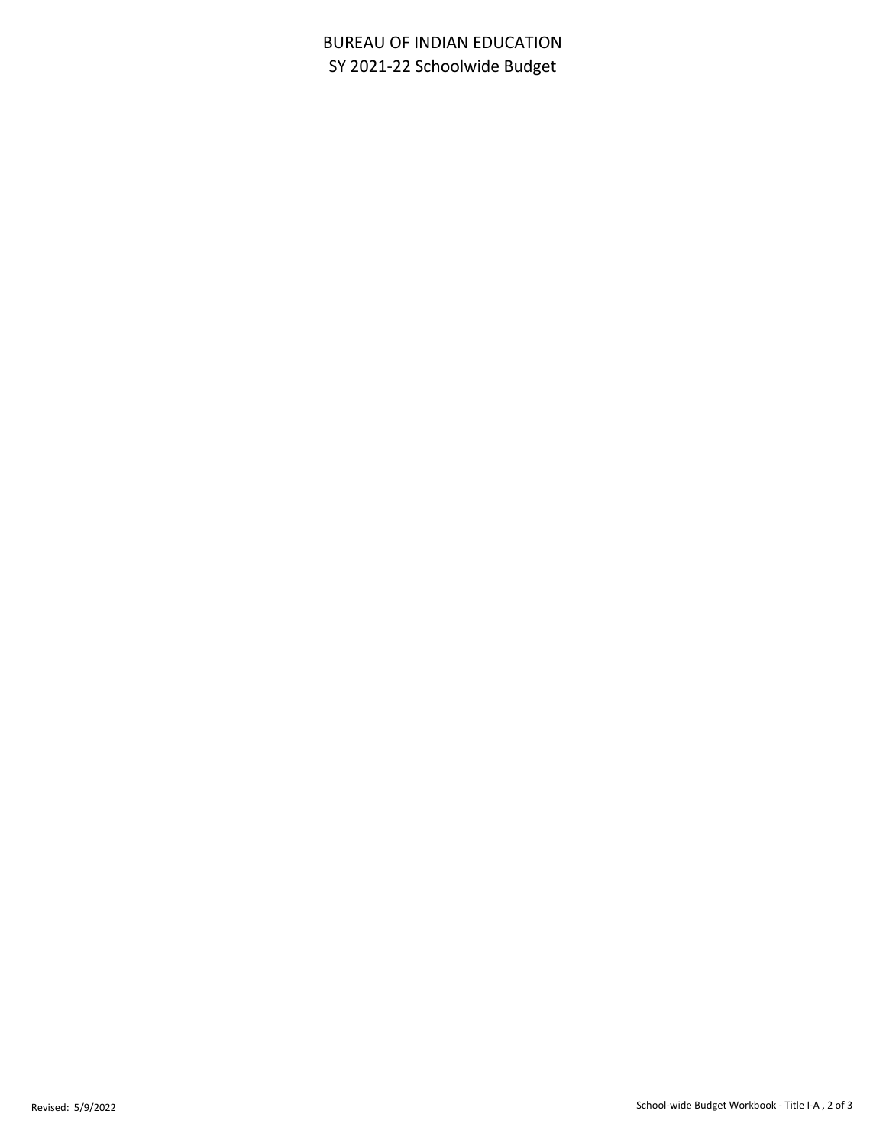## BUREAU OF INDIAN EDUCATION SY 2021-22 Schoolwide Budget